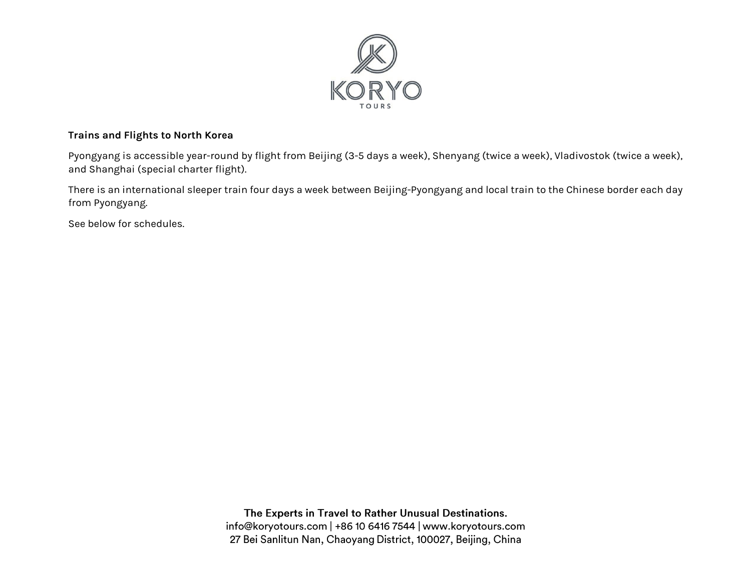

#### **Trains and Flights to North Korea**

Pyongyang is accessible year-round by flight from Beijing (3-5 days a week), Shenyang (twice a week), Vladivostok (twice a week), and Shanghai (special charter flight).

There is an international sleeper train four days a week between Beijing-Pyongyang and local train to the Chinese border each day from Pyongyang.

See below for schedules.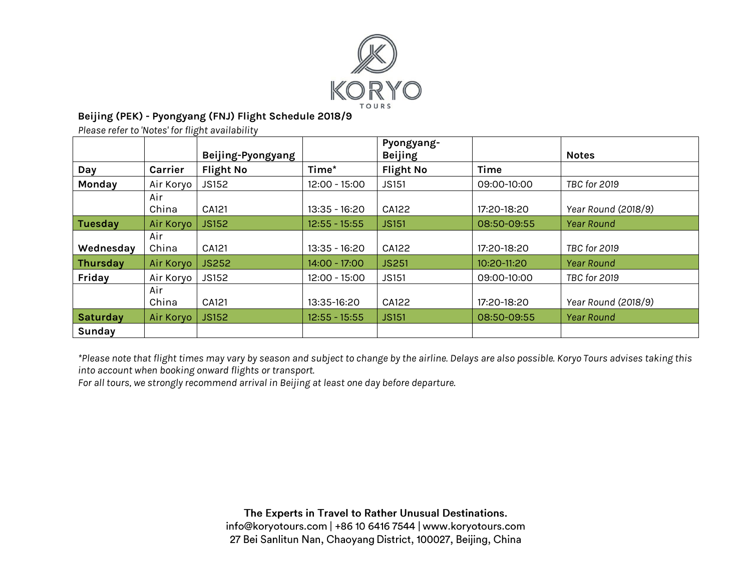

# **Beijing (PEK) - Pyongyang (FNJ) Flight Schedule 2018/9**

*Please refer to 'Notes' for flight availability* 

|                 |           | Beijing-Pyongyang |                 | Pyongyang-<br><b>Beijing</b> |             | <b>Notes</b>        |
|-----------------|-----------|-------------------|-----------------|------------------------------|-------------|---------------------|
|                 |           |                   | Time*           |                              | <b>Time</b> |                     |
| Day             | Carrier   | <b>Flight No</b>  |                 | <b>Flight No</b>             |             |                     |
| Monday          | Air Koryo | JS152             | $12:00 - 15:00$ | <b>JS151</b>                 | 09:00-10:00 | TBC for 2019        |
|                 | Air       |                   |                 |                              |             |                     |
|                 | China     | CA121             | $13:35 - 16:20$ | CA122                        | 17:20-18:20 | Year Round (2018/9) |
| <b>Tuesday</b>  | Air Koryo | <b>JS152</b>      | $12:55 - 15:55$ | <b>JS151</b>                 | 08:50-09:55 | <b>Year Round</b>   |
|                 | Air       |                   |                 |                              |             |                     |
| Wednesday       | China     | CA121             | $13:35 - 16:20$ | CA122                        | 17:20-18:20 | TBC for 2019        |
| <b>Thursday</b> | Air Koryo | <b>JS252</b>      | 14:00 - 17:00   | <b>JS251</b>                 | 10:20-11:20 | <b>Year Round</b>   |
| Friday          | Air Koryo | <b>JS152</b>      | 12:00 - 15:00   | <b>JS151</b>                 | 09:00-10:00 | TBC for 2019        |
|                 | Air       |                   |                 |                              |             |                     |
|                 | China     | CA121             | 13:35-16:20     | CA122                        | 17:20-18:20 | Year Round (2018/9) |
| <b>Saturday</b> | Air Koryo | <b>JS152</b>      | $12:55 - 15:55$ | <b>JS151</b>                 | 08:50-09:55 | <b>Year Round</b>   |
| Sunday          |           |                   |                 |                              |             |                     |

*\*Please note that flight times may vary by season and subject to change by the airline. Delays are also possible. Koryo Tours advises taking this into account when booking onward flights or transport.* 

*For all tours, we strongly recommend arrival in Beijing at least one day before departure.*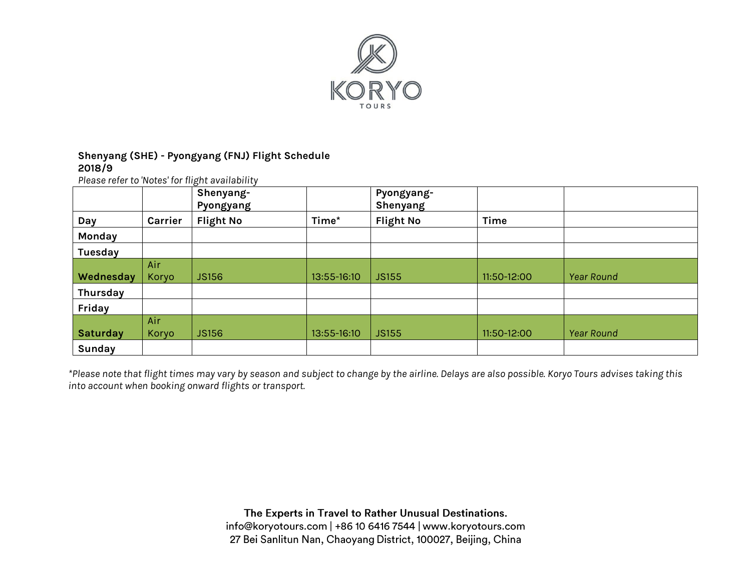

### **Shenyang (SHE) - Pyongyang (FNJ) Flight Schedule 2018/9**

*Please refer to 'Notes' for flight availability*

|                 |         | Shenyang-<br>Pyongyang |             | Pyongyang-<br>Shenyang |             |                   |
|-----------------|---------|------------------------|-------------|------------------------|-------------|-------------------|
| Day             | Carrier | <b>Flight No</b>       | Time*       | <b>Flight No</b>       | Time        |                   |
| Monday          |         |                        |             |                        |             |                   |
| <b>Tuesday</b>  |         |                        |             |                        |             |                   |
|                 | Air     |                        |             |                        |             |                   |
| Wednesday       | Koryo   | <b>JS156</b>           | 13:55-16:10 | <b>JS155</b>           | 11:50-12:00 | <b>Year Round</b> |
| Thursday        |         |                        |             |                        |             |                   |
| Friday          |         |                        |             |                        |             |                   |
|                 | Air     |                        |             |                        |             |                   |
| <b>Saturday</b> | Koryo   | <b>JS156</b>           | 13:55-16:10 | <b>JS155</b>           | 11:50-12:00 | <b>Year Round</b> |
| Sunday          |         |                        |             |                        |             |                   |

*\*Please note that flight times may vary by season and subject to change by the airline. Delays are also possible. Koryo Tours advises taking this into account when booking onward flights or transport.*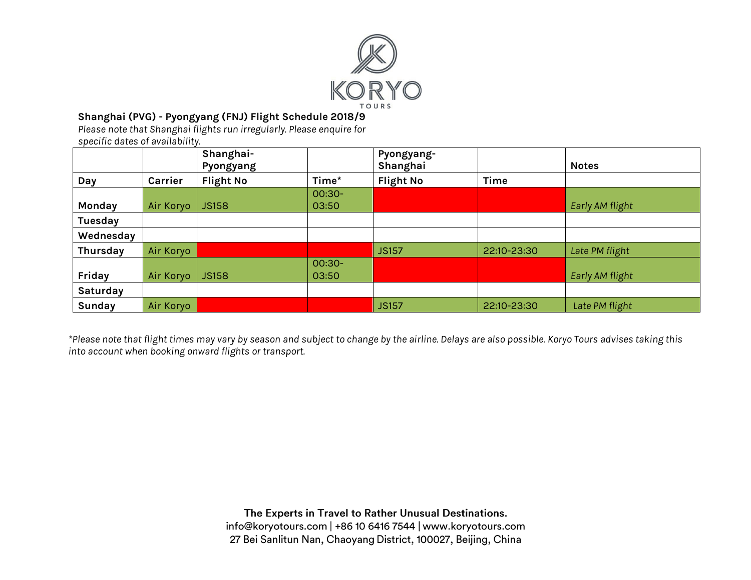

## **Shanghai (PVG) - Pyongyang (FNJ) Flight Schedule 2018/9**

*Please note that Shanghai flights run irregularly. Please enquire for specific dates of availability.* 

|           |           | Shanghai-<br>Pyongyang |          | Pyongyang-<br>Shanghai |             | <b>Notes</b>    |
|-----------|-----------|------------------------|----------|------------------------|-------------|-----------------|
| Day       | Carrier   | <b>Flight No</b>       | Time*    | <b>Flight No</b>       | Time        |                 |
|           |           |                        | $00:30-$ |                        |             |                 |
| Monday    | Air Koryo | <b>JS158</b>           | 03:50    |                        |             | Early AM flight |
| Tuesday   |           |                        |          |                        |             |                 |
| Wednesday |           |                        |          |                        |             |                 |
| Thursday  | Air Koryo |                        |          | <b>JS157</b>           | 22:10-23:30 | Late PM flight  |
|           |           |                        | $00:30-$ |                        |             |                 |
| Friday    | Air Koryo | <b>JS158</b>           | 03:50    |                        |             | Early AM flight |
| Saturday  |           |                        |          |                        |             |                 |
| Sunday    | Air Koryo |                        |          | <b>JS157</b>           | 22:10-23:30 | Late PM flight  |

*\*Please note that flight times may vary by season and subject to change by the airline. Delays are also possible. Koryo Tours advises taking this into account when booking onward flights or transport.*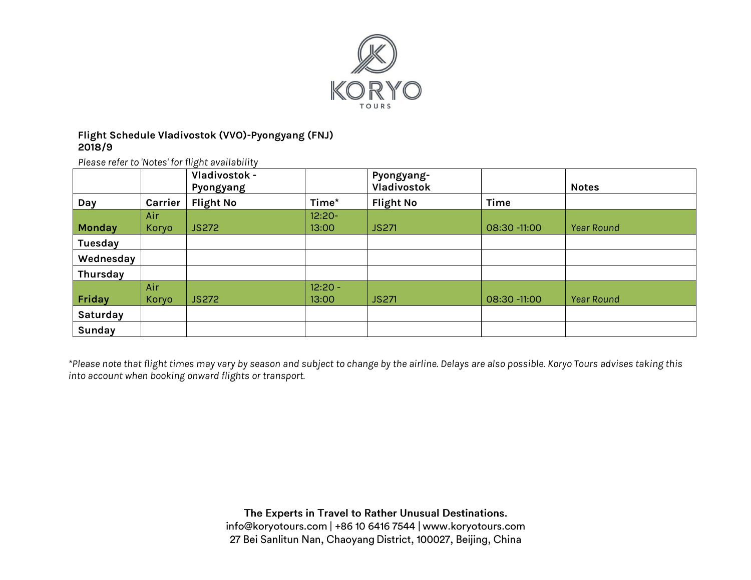

### **Flight Schedule Vladivostok (VVO)-Pyongyang (FNJ) 2018/9**

*Please refer to 'Notes' for flight availability* 

|               |         | Vladivostok -<br>Pyongyang |           | Pyongyang-<br>Vladivostok |              | <b>Notes</b>      |
|---------------|---------|----------------------------|-----------|---------------------------|--------------|-------------------|
| Day           | Carrier | <b>Flight No</b>           | Time*     | <b>Flight No</b>          | <b>Time</b>  |                   |
|               | Air     |                            | $12:20 -$ |                           |              |                   |
| <b>Monday</b> | Koryo   | <b>JS272</b>               | 13:00     | <b>JS271</b>              | 08:30 -11:00 | <b>Year Round</b> |
| Tuesday       |         |                            |           |                           |              |                   |
| Wednesday     |         |                            |           |                           |              |                   |
| Thursday      |         |                            |           |                           |              |                   |
|               | Air     |                            | $12:20 -$ |                           |              |                   |
| Friday        | Koryo   | <b>JS272</b>               | 13:00     | <b>JS271</b>              | 08:30 -11:00 | <b>Year Round</b> |
| Saturday      |         |                            |           |                           |              |                   |
| Sunday        |         |                            |           |                           |              |                   |

*\*Please note that flight times may vary by season and subject to change by the airline. Delays are also possible. Koryo Tours advises taking this into account when booking onward flights or transport.*